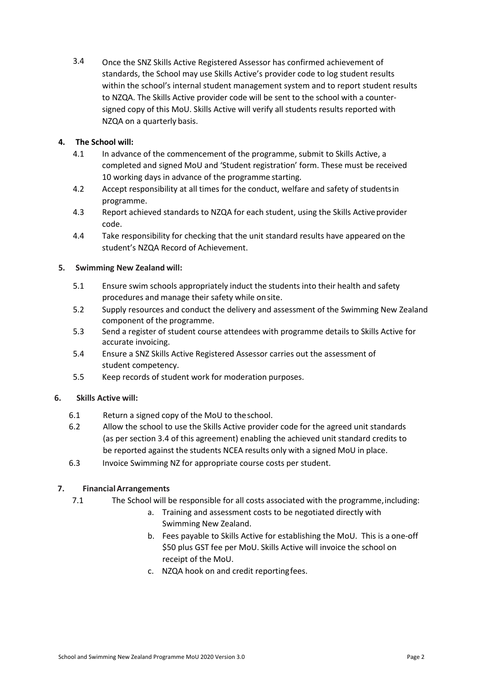3.4 Once the SNZ Skills Active Registered Assessor has confirmed achievement of standards, the School may use Skills Active's provider code to log student results within the school's internal student management system and to report student results to NZQA. The Skills Active provider code will be sent to the school with a counter‐ signed copy of this MoU. Skills Active will verify all students results reported with NZQA on a quarterly basis.

# **4. The School will:**

- 4.1 In advance of the commencement of the programme, submit to Skills Active, a completed and signed MoU and 'Student registration' form. These must be received 10 working days in advance of the programme starting.
- 4.2 Accept responsibility at all times for the conduct, welfare and safety of studentsin programme.
- 4.3 Report achieved standards to NZQA for each student, using the Skills Active provider code.
- 4.4 Take responsibility for checking that the unit standard results have appeared on the student's NZQA Record of Achievement.

## **5. Swimming New Zealand will:**

- 5.1 Ensure swim schools appropriately induct the students into their health and safety procedures and manage their safety while onsite.
- 5.2 Supply resources and conduct the delivery and assessment of the Swimming New Zealand component of the programme.
- 5.3 Send a register of student course attendees with programme details to Skills Active for accurate invoicing.
- 5.4 Ensure a SNZ Skills Active Registered Assessor carries out the assessment of student competency.
- 5.5 Keep records of student work for moderation purposes.

# **6. Skills Active will:**

- 6.1 Return a signed copy of the MoU to theschool.
- 6.2 Allow the school to use the Skills Active provider code for the agreed unit standards (as per section 3.4 of this agreement) enabling the achieved unit standard credits to be reported against the students NCEA results only with a signed MoU in place.
- 6.3 Invoice Swimming NZ for appropriate course costs per student.

# **7. FinancialArrangements**

- 7.1 The School will be responsible for all costs associated with the programme,including:
	- a. Training and assessment costs to be negotiated directly with Swimming New Zealand.
	- b. Fees payable to Skills Active for establishing the MoU. This is a one‐off \$50 plus GST fee per MoU. Skills Active will invoice the school on receipt of the MoU.
	- c. NZQA hook on and credit reportingfees.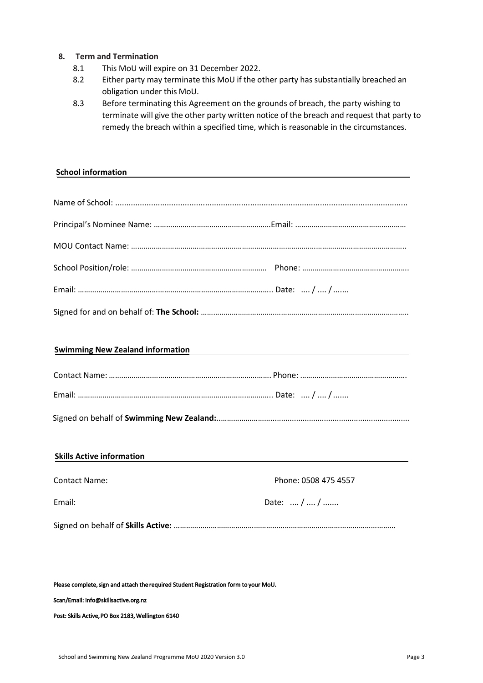## **8. Term and Termination**

- 8.1 This MoU will expire on 31 December 2022.
- 8.2 Either party may terminate this MoU if the other party has substantially breached an obligation under this MoU.
- 8.3 Before terminating this Agreement on the grounds of breach, the party wishing to terminate will give the other party written notice of the breach and request that party to remedy the breach within a specified time, which is reasonable in the circumstances.

## **School information**

| <u> 1989 - Jan Samuel Barbara, margaret eta idazlea (h. 1982).</u> |
|--------------------------------------------------------------------|
|                                                                    |
|                                                                    |
|                                                                    |

|--|--|

| <b>Skills Active information</b> |                      |
|----------------------------------|----------------------|
| <b>Contact Name:</b>             | Phone: 0508 475 4557 |
| Email:                           | Date:  /  /          |
|                                  |                      |

Please complete, sign and attach the required Student Registration form to your MoU.

Scan/Email: info@skillsactive.org.nz

Post: Skills Active, PO Box 2183, Wellington 6140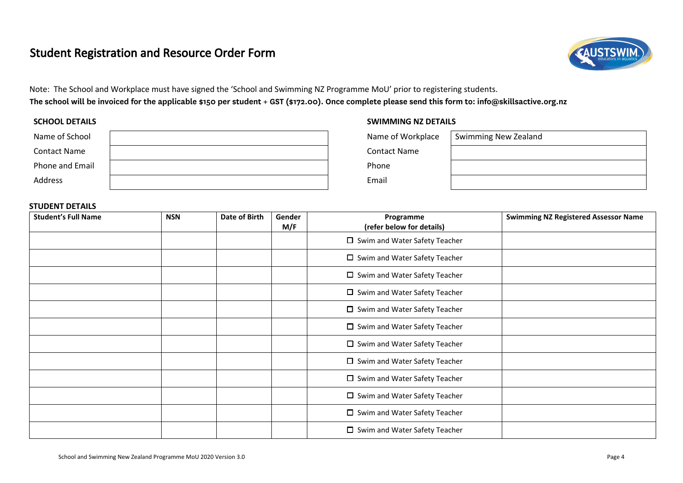# Student Registration and Resource Order Form



Note: The School and Workplace must have signed the 'School and Swimming NZ Programme MoU' prior to registering students. The school will be invoiced for the applicable \$150 per student + GST (\$172.00). Once complete please send this form to: info@skillsactive.org.nz

| Name of School      | Name of Workplace   | <b>Swimming New Zealand</b> |
|---------------------|---------------------|-----------------------------|
| <b>Contact Name</b> | <b>Contact Name</b> |                             |
| Phone and Email     | Phone               |                             |
| Address             | Email               |                             |

## **SCHOOL DETAILS SWIMMING NZ DETAILS**

| ame of Workplace | Swimming New Zealand |
|------------------|----------------------|
| ontact Name      |                      |
| hone             |                      |
| mail             |                      |

## **STUDENT DETAILS**

| <b>Student's Full Name</b> | <b>NSN</b> | Date of Birth | Gender<br>M/F | Programme<br>(refer below for details)  | <b>Swimming NZ Registered Assessor Name</b> |
|----------------------------|------------|---------------|---------------|-----------------------------------------|---------------------------------------------|
|                            |            |               |               | □ Swim and Water Safety Teacher         |                                             |
|                            |            |               |               | □ Swim and Water Safety Teacher         |                                             |
|                            |            |               |               | $\square$ Swim and Water Safety Teacher |                                             |
|                            |            |               |               | □ Swim and Water Safety Teacher         |                                             |
|                            |            |               |               | □ Swim and Water Safety Teacher         |                                             |
|                            |            |               |               | $\Box$ Swim and Water Safety Teacher    |                                             |
|                            |            |               |               | □ Swim and Water Safety Teacher         |                                             |
|                            |            |               |               | $\square$ Swim and Water Safety Teacher |                                             |
|                            |            |               |               | $\Box$ Swim and Water Safety Teacher    |                                             |
|                            |            |               |               | □ Swim and Water Safety Teacher         |                                             |
|                            |            |               |               | □ Swim and Water Safety Teacher         |                                             |
|                            |            |               |               | $\square$ Swim and Water Safety Teacher |                                             |